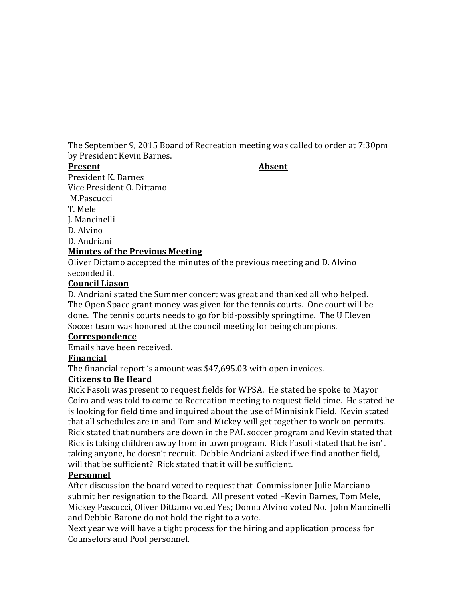The September 9, 2015 Board of Recreation meeting was called to order at 7:30pm by President Kevin Barnes.

#### **Present Absent**

President K. Barnes Vice President O. Dittamo

M.Pascucci T. Mele

J. Mancinelli

D. Alvino

D. Andriani

#### **Minutes of the Previous Meeting**

Oliver Dittamo accepted the minutes of the previous meeting and D. Alvino seconded it.

#### **Council Liason**

D. Andriani stated the Summer concert was great and thanked all who helped. The Open Space grant money was given for the tennis courts. One court will be done. The tennis courts needs to go for bid-possibly springtime. The U Eleven Soccer team was honored at the council meeting for being champions.

#### **Correspondence**

Emails have been received.

# **Financial**

The financial report 's amount was \$47,695.03 with open invoices.

# **Citizens to Be Heard**

Rick Fasoli was present to request fields for WPSA. He stated he spoke to Mayor Coiro and was told to come to Recreation meeting to request field time. He stated he is looking for field time and inquired about the use of Minnisink Field. Kevin stated that all schedules are in and Tom and Mickey will get together to work on permits. Rick stated that numbers are down in the PAL soccer program and Kevin stated that Rick is taking children away from in town program. Rick Fasoli stated that he isn't taking anyone, he doesn't recruit. Debbie Andriani asked if we find another field, will that be sufficient? Rick stated that it will be sufficient.

#### **Personnel**

After discussion the board voted to request that Commissioner Julie Marciano submit her resignation to the Board. All present voted –Kevin Barnes, Tom Mele, Mickey Pascucci, Oliver Dittamo voted Yes; Donna Alvino voted No. John Mancinelli and Debbie Barone do not hold the right to a vote.

Next year we will have a tight process for the hiring and application process for Counselors and Pool personnel.